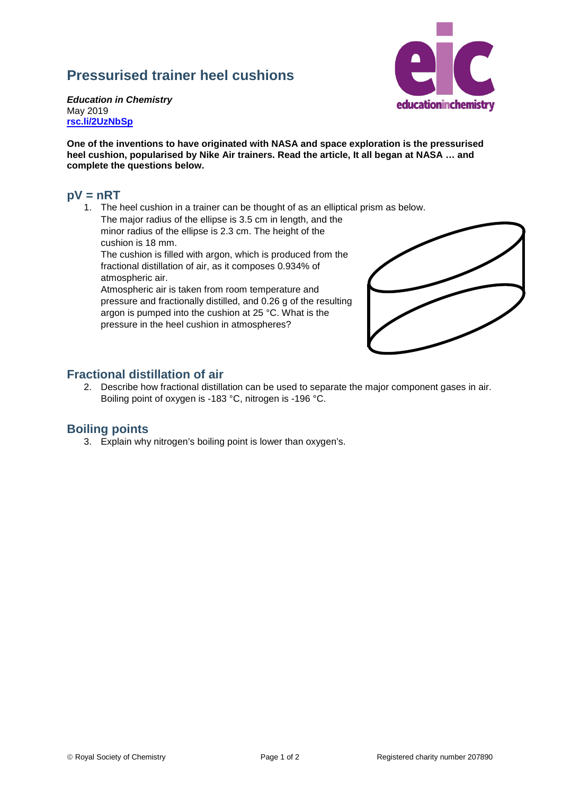# **Pressurised trainer heel cushions**



*Education in Chemistry* May 2019 **[rsc.li/2UzNbSp](https://rsc.li/2UzNbSp)**

**One of the inventions to have originated with NASA and space exploration is the pressurised heel cushion, popularised by Nike Air trainers. Read the article, It all began at NASA … and complete the questions below.**

#### **pV = nRT**

1. The heel cushion in a trainer can be thought of as an elliptical prism as below. The major radius of the ellipse is 3.5 cm in length, and the

minor radius of the ellipse is 2.3 cm. The height of the cushion is 18 mm.

The cushion is filled with argon, which is produced from the fractional distillation of air, as it composes 0.934% of atmospheric air.

Atmospheric air is taken from room temperature and pressure and fractionally distilled, and 0.26 g of the resulting argon is pumped into the cushion at 25 °C. What is the pressure in the heel cushion in atmospheres?



## **Fractional distillation of air**

2. Describe how fractional distillation can be used to separate the major component gases in air. Boiling point of oxygen is -183 °C, nitrogen is -196 °C.

### **Boiling points**

3. Explain why nitrogen's boiling point is lower than oxygen's.